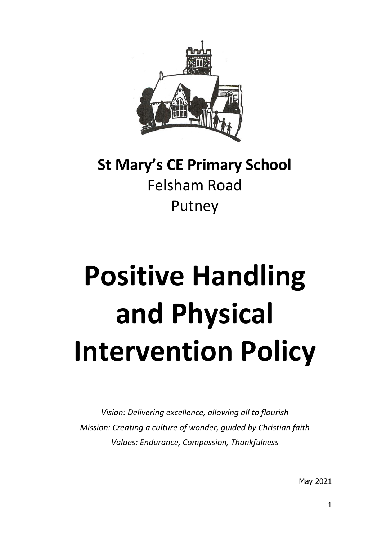

## **St Mary's CE Primary School** Felsham Road Putney

# **Positive Handling and Physical Intervention Policy**

*Vision: Delivering excellence, allowing all to flourish Mission: Creating a culture of wonder, guided by Christian faith Values: Endurance, Compassion, Thankfulness*

May 2021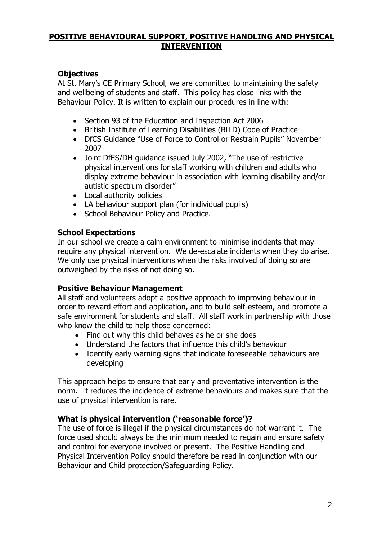#### **POSITIVE BEHAVIOURAL SUPPORT, POSITIVE HANDLING AND PHYSICAL INTERVENTION**

#### **Objectives**

At St. Mary's CE Primary School, we are committed to maintaining the safety and wellbeing of students and staff. This policy has close links with the Behaviour Policy. It is written to explain our procedures in line with:

- Section 93 of the Education and Inspection Act 2006
- British Institute of Learning Disabilities (BILD) Code of Practice
- DfCS Guidance "Use of Force to Control or Restrain Pupils" November 2007
- Joint DfES/DH guidance issued July 2002, "The use of restrictive physical interventions for staff working with children and adults who display extreme behaviour in association with learning disability and/or autistic spectrum disorder"
- Local authority policies
- LA behaviour support plan (for individual pupils)
- School Behaviour Policy and Practice.

#### **School Expectations**

In our school we create a calm environment to minimise incidents that may require any physical intervention. We de-escalate incidents when they do arise. We only use physical interventions when the risks involved of doing so are outweighed by the risks of not doing so.

#### **Positive Behaviour Management**

All staff and volunteers adopt a positive approach to improving behaviour in order to reward effort and application, and to build self-esteem, and promote a safe environment for students and staff. All staff work in partnership with those who know the child to help those concerned:

- Find out why this child behaves as he or she does
- Understand the factors that influence this child's behaviour
- Identify early warning signs that indicate foreseeable behaviours are developing

This approach helps to ensure that early and preventative intervention is the norm. It reduces the incidence of extreme behaviours and makes sure that the use of physical intervention is rare.

#### **What is physical intervention ('reasonable force')?**

The use of force is illegal if the physical circumstances do not warrant it. The force used should always be the minimum needed to regain and ensure safety and control for everyone involved or present. The Positive Handling and Physical Intervention Policy should therefore be read in conjunction with our Behaviour and Child protection/Safeguarding Policy.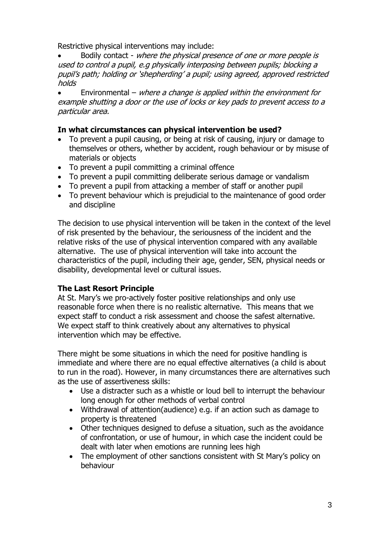Restrictive physical interventions may include:

 Bodily contact - where the physical presence of one or more people is used to control a pupil, e.g physically interposing between pupils; blocking a pupil's path; holding or 'shepherding' a pupil; using agreed, approved restricted holds

**Environmental** – where a change is applied within the environment for example shutting a door or the use of locks or key pads to prevent access to a particular area.

#### **In what circumstances can physical intervention be used?**

- To prevent a pupil causing, or being at risk of causing, injury or damage to themselves or others, whether by accident, rough behaviour or by misuse of materials or objects
- To prevent a pupil committing a criminal offence
- To prevent a pupil committing deliberate serious damage or vandalism
- To prevent a pupil from attacking a member of staff or another pupil
- To prevent behaviour which is prejudicial to the maintenance of good order and discipline

The decision to use physical intervention will be taken in the context of the level of risk presented by the behaviour, the seriousness of the incident and the relative risks of the use of physical intervention compared with any available alternative. The use of physical intervention will take into account the characteristics of the pupil, including their age, gender, SEN, physical needs or disability, developmental level or cultural issues.

#### **The Last Resort Principle**

At St. Mary's we pro-actively foster positive relationships and only use reasonable force when there is no realistic alternative. This means that we expect staff to conduct a risk assessment and choose the safest alternative. We expect staff to think creatively about any alternatives to physical intervention which may be effective.

There might be some situations in which the need for positive handling is immediate and where there are no equal effective alternatives (a child is about to run in the road). However, in many circumstances there are alternatives such as the use of assertiveness skills:

- Use a distracter such as a whistle or loud bell to interrupt the behaviour long enough for other methods of verbal control
- Withdrawal of attention(audience) e.g. if an action such as damage to property is threatened
- Other techniques designed to defuse a situation, such as the avoidance of confrontation, or use of humour, in which case the incident could be dealt with later when emotions are running lees high
- The employment of other sanctions consistent with St Mary's policy on behaviour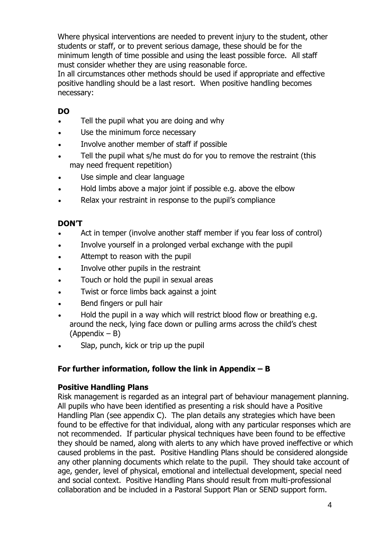Where physical interventions are needed to prevent injury to the student, other students or staff, or to prevent serious damage, these should be for the minimum length of time possible and using the least possible force. All staff must consider whether they are using reasonable force.

In all circumstances other methods should be used if appropriate and effective positive handling should be a last resort. When positive handling becomes necessary:

#### **DO**

- Tell the pupil what you are doing and why
- Use the minimum force necessary
- Involve another member of staff if possible
- Tell the pupil what s/he must do for you to remove the restraint (this may need frequent repetition)
- Use simple and clear language
- Hold limbs above a major joint if possible e.g. above the elbow
- Relax your restraint in response to the pupil's compliance

#### **DON'T**

- Act in temper (involve another staff member if you fear loss of control)
- Involve yourself in a prolonged verbal exchange with the pupil
- Attempt to reason with the pupil
- Involve other pupils in the restraint
- Touch or hold the pupil in sexual areas
- Twist or force limbs back against a joint
- Bend fingers or pull hair
- Hold the pupil in a way which will restrict blood flow or breathing e.g. around the neck, lying face down or pulling arms across the child's chest (Appendix – B)
- Slap, punch, kick or trip up the pupil

#### **For further information, follow the link in Appendix – B**

#### **Positive Handling Plans**

Risk management is regarded as an integral part of behaviour management planning. All pupils who have been identified as presenting a risk should have a Positive Handling Plan (see appendix C). The plan details any strategies which have been found to be effective for that individual, along with any particular responses which are not recommended. If particular physical techniques have been found to be effective they should be named, along with alerts to any which have proved ineffective or which caused problems in the past. Positive Handling Plans should be considered alongside any other planning documents which relate to the pupil. They should take account of age, gender, level of physical, emotional and intellectual development, special need and social context. Positive Handling Plans should result from multi-professional collaboration and be included in a Pastoral Support Plan or SEND support form.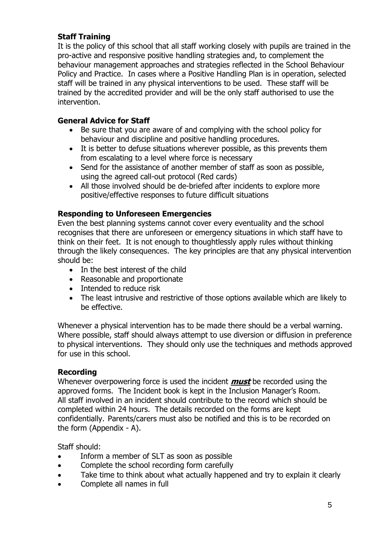#### **Staff Training**

It is the policy of this school that all staff working closely with pupils are trained in the pro-active and responsive positive handling strategies and, to complement the behaviour management approaches and strategies reflected in the School Behaviour Policy and Practice. In cases where a Positive Handling Plan is in operation, selected staff will be trained in any physical interventions to be used. These staff will be trained by the accredited provider and will be the only staff authorised to use the intervention.

#### **General Advice for Staff**

- Be sure that you are aware of and complying with the school policy for behaviour and discipline and positive handling procedures.
- It is better to defuse situations wherever possible, as this prevents them from escalating to a level where force is necessary
- Send for the assistance of another member of staff as soon as possible, using the agreed call-out protocol (Red cards)
- All those involved should be de-briefed after incidents to explore more positive/effective responses to future difficult situations

#### **Responding to Unforeseen Emergencies**

Even the best planning systems cannot cover every eventuality and the school recognises that there are unforeseen or emergency situations in which staff have to think on their feet. It is not enough to thoughtlessly apply rules without thinking through the likely consequences. The key principles are that any physical intervention should be:

- In the best interest of the child
- Reasonable and proportionate
- Intended to reduce risk
- The least intrusive and restrictive of those options available which are likely to be effective.

Whenever a physical intervention has to be made there should be a verbal warning. Where possible, staff should always attempt to use diversion or diffusion in preference to physical interventions. They should only use the techniques and methods approved for use in this school.

#### **Recording**

Whenever overpowering force is used the incident **must** be recorded using the approved forms. The Incident book is kept in the Inclusion Manager's Room. All staff involved in an incident should contribute to the record which should be completed within 24 hours. The details recorded on the forms are kept confidentially. Parents/carers must also be notified and this is to be recorded on the form (Appendix - A).

Staff should:

- Inform a member of SLT as soon as possible
- Complete the school recording form carefully
- Take time to think about what actually happened and try to explain it clearly
- Complete all names in full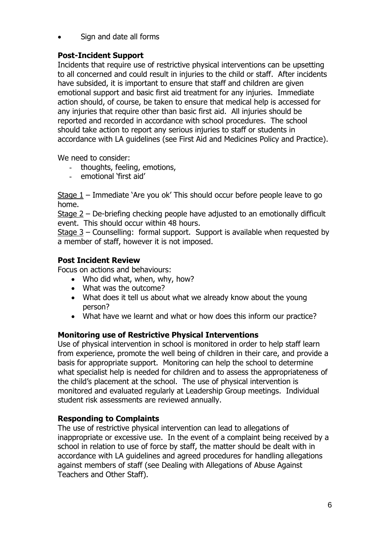Sign and date all forms

#### **Post-Incident Support**

Incidents that require use of restrictive physical interventions can be upsetting to all concerned and could result in injuries to the child or staff. After incidents have subsided, it is important to ensure that staff and children are given emotional support and basic first aid treatment for any injuries. Immediate action should, of course, be taken to ensure that medical help is accessed for any injuries that require other than basic first aid. All injuries should be reported and recorded in accordance with school procedures. The school should take action to report any serious injuries to staff or students in accordance with LA guidelines (see First Aid and Medicines Policy and Practice).

We need to consider:

- thoughts, feeling, emotions,
- emotional 'first aid'

Stage 1 – Immediate 'Are you ok' This should occur before people leave to go home.

Stage 2 – De-briefing checking people have adjusted to an emotionally difficult event. This should occur within 48 hours.

Stage 3 – Counselling: formal support. Support is available when requested by a member of staff, however it is not imposed.

#### **Post Incident Review**

Focus on actions and behaviours:

- Who did what, when, why, how?
- What was the outcome?
- What does it tell us about what we already know about the young person?
- What have we learnt and what or how does this inform our practice?

#### **Monitoring use of Restrictive Physical Interventions**

Use of physical intervention in school is monitored in order to help staff learn from experience, promote the well being of children in their care, and provide a basis for appropriate support. Monitoring can help the school to determine what specialist help is needed for children and to assess the appropriateness of the child's placement at the school. The use of physical intervention is monitored and evaluated regularly at Leadership Group meetings. Individual student risk assessments are reviewed annually.

#### **Responding to Complaints**

The use of restrictive physical intervention can lead to allegations of inappropriate or excessive use. In the event of a complaint being received by a school in relation to use of force by staff, the matter should be dealt with in accordance with LA guidelines and agreed procedures for handling allegations against members of staff (see Dealing with Allegations of Abuse Against Teachers and Other Staff).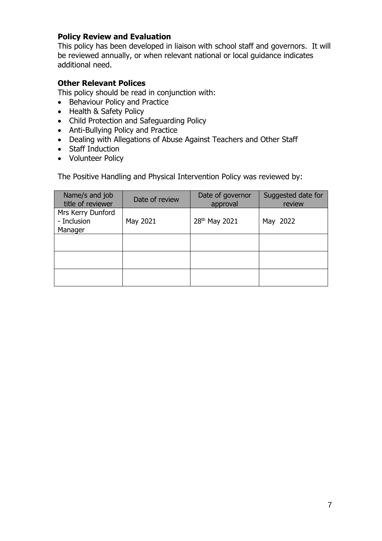#### **Policy Review and Evaluation**

This policy has been developed in liaison with school staff and governors. It will be reviewed annually, or when relevant national or local guidance indicates additional need.

#### **Other Relevant Polices**

This policy should be read in conjunction with:

- Behaviour Policy and Practice
- Health & Safety Policy
- Child Protection and Safeguarding Policy
- Anti-Bullying Policy and Practice
- Dealing with Allegations of Abuse Against Teachers and Other Staff
- Staff Induction
- Volunteer Policy

The Positive Handling and Physical Intervention Policy was reviewed by:

| Name/s and job<br>title of reviewer         | Date of review | Date of governor<br>approval | Suggested date for<br>review |  |
|---------------------------------------------|----------------|------------------------------|------------------------------|--|
| Mrs Kerry Dunford<br>- Inclusion<br>Manager | May 2021       | 28 <sup>th</sup> May 2021    | May 2022                     |  |
|                                             |                |                              |                              |  |
|                                             |                |                              |                              |  |
|                                             |                |                              |                              |  |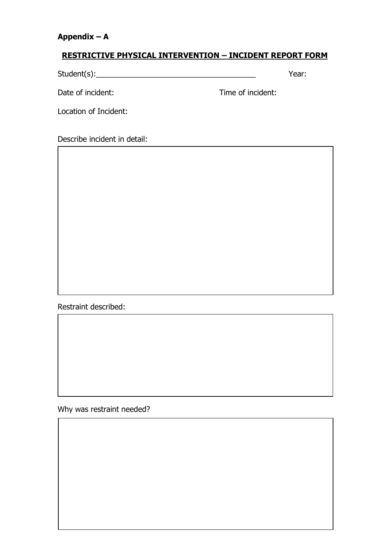#### **Appendix – A**

#### **RESTRICTIVE PHYSICAL INTERVENTION – INCIDENT REPORT FORM**

Student(s): The Material Student (s): The Material Student (s): The Material Student (s): The Material Student (s): The Material Student (s): The Material Student (s): The Material Student (s): The Material Student (s): Th

Date of incident: Time of incident:

Location of Incident:

Describe incident in detail:

Restraint described:

Why was restraint needed?

 $W_{\rm eff}$  do to try to try to define the situation before using restraint. The situation before using restraint?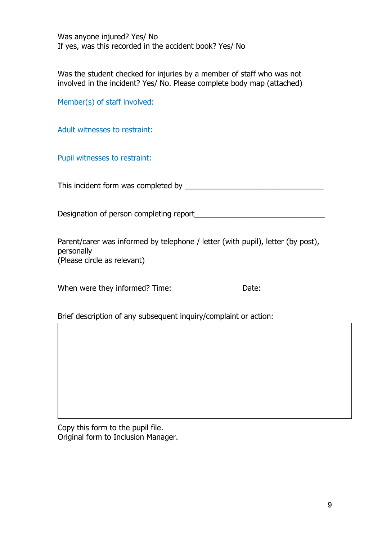Was anyone injured? Yes/ No If yes, was this recorded in the accident book? Yes/ No

Was the student checked for injuries by a member of staff who was not involved in the incident? Yes/ No. Please complete body map (attached)

Member(s) of staff involved:

Adult witnesses to restraint:

Pupil witnesses to restraint:

This incident form was completed by This incident form was completed by

Designation of person completing report

Parent/carer was informed by telephone / letter (with pupil), letter (by post), personally (Please circle as relevant)

When were they informed? Time: Date:

Brief description of any subsequent inquiry/complaint or action:

Copy this form to the pupil file. Original form to Inclusion Manager.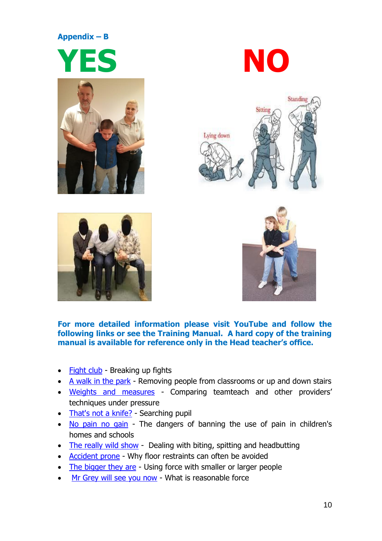#### **Appendix – B**













#### **For more detailed information please visit YouTube and follow the following links or see the Training Manual. A hard copy of the training manual is available for reference only in the Head teacher's office.**

- [Fight club](https://www.youtube.com/watch?v=FlzUeJzj1ck) Breaking up fights
- $\bullet$  [A walk in the park](https://youtu.be/ASU7zW3hQXo) Removing people from classrooms or up and down stairs
- [Weights and measures](https://www.youtube.com/watch?v=RDbAoD4bWmA) Comparing teamteach and other providers' techniques under pressure
- [That's not a knife?](https://www.youtube.com/watch?v=PRikjWbNAtk) Searching pupil
- [No pain no gain](https://www.youtube.com/watch?v=1sPAkft2QSg) The dangers of banning the use of pain in children's homes and schools
- [The really wild show](https://www.youtube.com/watch?v=EPVbROal7ko) Dealing with biting, spitting and headbutting
- [Accident prone](https://www.youtube.com/watch?v=nmCdqj6_9bU) Why floor restraints can often be avoided
- [The bigger they are](https://www.youtube.com/watch?v=9WUPef7fgy4) Using force with smaller or larger people
- [Mr Grey will see you now](https://www.youtube.com/watch?v=SYFyF1d3ey4&t=3s) What is reasonable force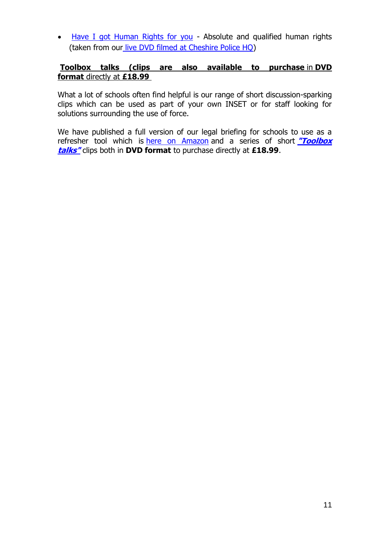• [Have I got Human Rights for you](https://www.youtube.com/watch?v=GLS8PnHWtxc) - Absolute and qualified human rights (taken from our [live DVD filmed at Cheshire Police HQ\)](https://www.amazon.co.uk/reasonable-force-schools-Doug-Melia-x/dp/B0155OYPE2)

#### **Toolbox talks (clips are also available to purchase** in **DVD format** directly at **£18.99**

What a lot of schools often find helpful is our range of short discussion-sparking clips which can be used as part of your own INSET or for staff looking for solutions surrounding the use of force.

We have published a full version of our legal briefing for schools to use as a refresher tool which is [here on Amazon](https://www.amazon.co.uk/reasonable-force-schools-Doug-Melia-x/dp/B0155OYPE2) and a series of short **["Toolbox](https://www.youtube.com/watch?v=5rNpxomV6EQ)  [talks"](https://www.youtube.com/watch?v=5rNpxomV6EQ)** clips both in **DVD format** to purchase directly at **£18.99**.